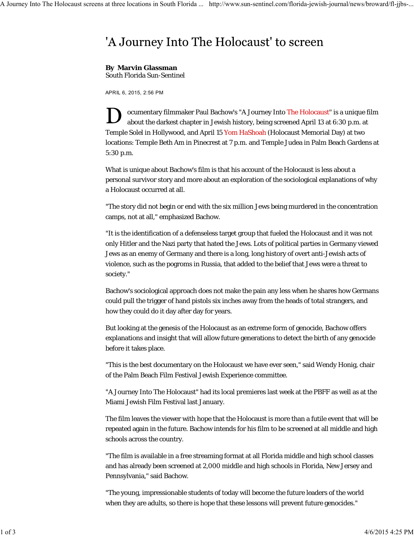## 'A Journey Into The Holocaust' to screen

## **By Marvin Glassman**

South Florida Sun-Sentinel

APRIL 6, 2015, 2:56 PM

ocumentary filmmaker Paul Bachow's "A Journey Into The Holocaust" is a unique film about the darkest chapter in Jewish history, being screened April 13 at 6:30 p.m. at Temple Solel in Hollywood, and April 15 Yom HaShoah (Holocaust Memorial Day) at two locations: Temple Beth Am in Pinecrest at 7 p.m. and Temple Judea in Palm Beach Gardens at 5:30 p.m.

What is unique about Bachow's film is that his account of the Holocaust is less about a personal survivor story and more about an exploration of the sociological explanations of why a Holocaust occurred at all.

"The story did not begin or end with the six million Jews being murdered in the concentration camps, not at all," emphasized Bachow.

"It is the identification of a defenseless target group that fueled the Holocaust and it was not only Hitler and the Nazi party that hated the Jews. Lots of political parties in Germany viewed Jews as an enemy of Germany and there is a long, long history of overt anti-Jewish acts of violence, such as the pogroms in Russia, that added to the belief that Jews were a threat to society."

Bachow's sociological approach does not make the pain any less when he shares how Germans could pull the trigger of hand pistols six inches away from the heads of total strangers, and how they could do it day after day for years.

But looking at the genesis of the Holocaust as an extreme form of genocide, Bachow offers explanations and insight that will allow future generations to detect the birth of any genocide before it takes place.

"This is the best documentary on the Holocaust we have ever seen," said Wendy Honig, chair of the Palm Beach Film Festival Jewish Experience committee.

"A Journey Into The Holocaust" had its local premieres last week at the PBFF as well as at the Miami Jewish Film Festival last January.

The film leaves the viewer with hope that the Holocaust is more than a futile event that will be repeated again in the future. Bachow intends for his film to be screened at all middle and high schools across the country.

"The film is available in a free streaming format at all Florida middle and high school classes and has already been screened at 2,000 middle and high schools in Florida, New Jersey and Pennsylvania," said Bachow.

"The young, impressionable students of today will become the future leaders of the world when they are adults, so there is hope that these lessons will prevent future genocides."